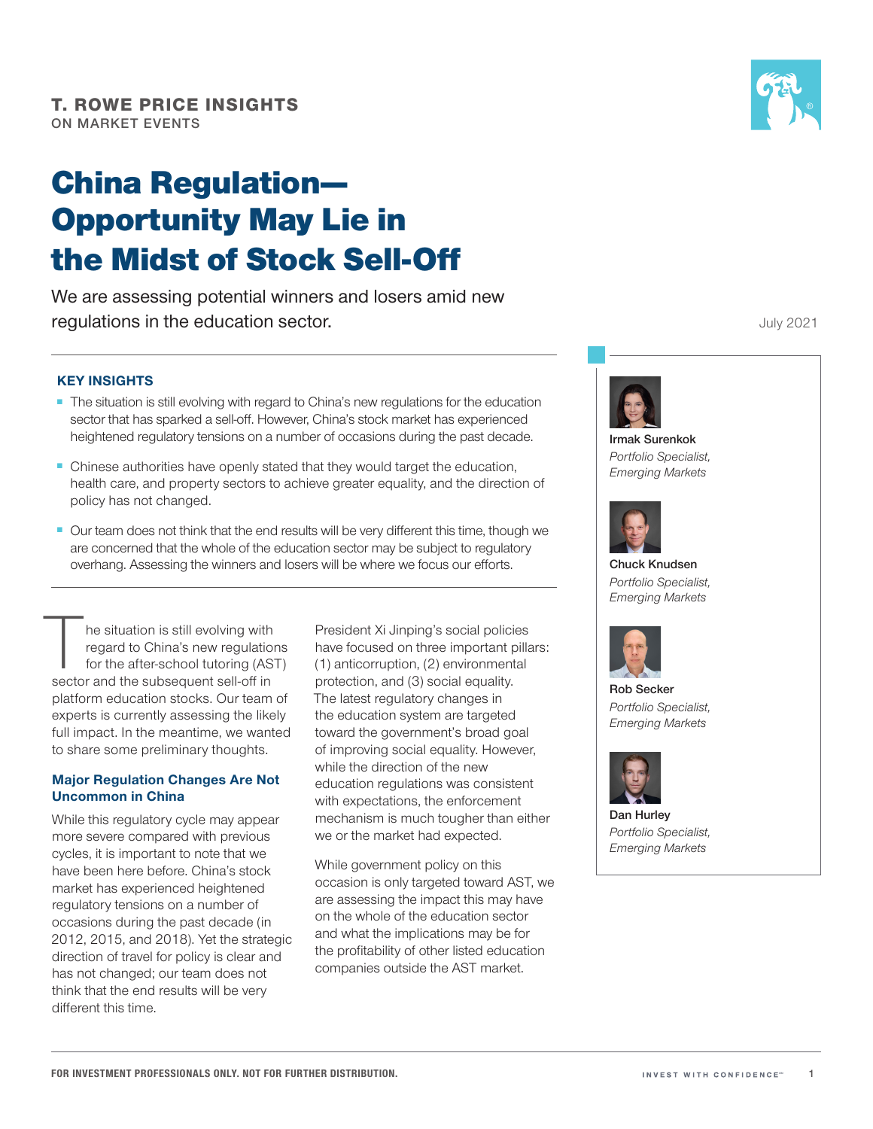# China Regulation— Opportunity May Lie in the Midst of Stock Sell-Off

We are assessing potential winners and losers amid new regulations in the education sector.

### **KEY INSIGHTS**

- The situation is still evolving with regard to China's new regulations for the education sector that has sparked a sell-off. However, China's stock market has experienced heightened regulatory tensions on a number of occasions during the past decade.
- Chinese authorities have openly stated that they would target the education, health care, and property sectors to achieve greater equality, and the direction of policy has not changed.
- Our team does not think that the end results will be very different this time, though we are concerned that the whole of the education sector may be subject to regulatory overhang. Assessing the winners and losers will be where we focus our efforts.

he situation is still evolving with regard to China's new regulations for the after‑school tutoring (AST) sector and the subsequent sell-off in platform education stocks. Our team of experts is currently assessing the likely full impact. In the meantime, we wanted to share some preliminary thoughts.

## **Major Regulation Changes Are Not Uncommon in China**

While this regulatory cycle may appear more severe compared with previous cycles, it is important to note that we have been here before. China's stock market has experienced heightened regulatory tensions on a number of occasions during the past decade (in 2012, 2015, and 2018). Yet the strategic direction of travel for policy is clear and has not changed; our team does not think that the end results will be very different this time.

President Xi Jinping's social policies have focused on three important pillars: (1) anticorruption, (2) environmental protection, and (3) social equality. The latest regulatory changes in the education system are targeted toward the government's broad goal of improving social equality. However, while the direction of the new education regulations was consistent with expectations, the enforcement mechanism is much tougher than either we or the market had expected.

While government policy on this occasion is only targeted toward AST, we are assessing the impact this may have on the whole of the education sector and what the implications may be for the profitability of other listed education companies outside the AST market.

July 2021



**Irmak Surenkok** *Portfolio Specialist, Emerging Markets*



**Chuck Knudsen** *Portfolio Specialist, Emerging Markets*



**Rob Secker** *Portfolio Specialist, Emerging Markets*



**Dan Hurley** *Portfolio Specialist, Emerging Markets*

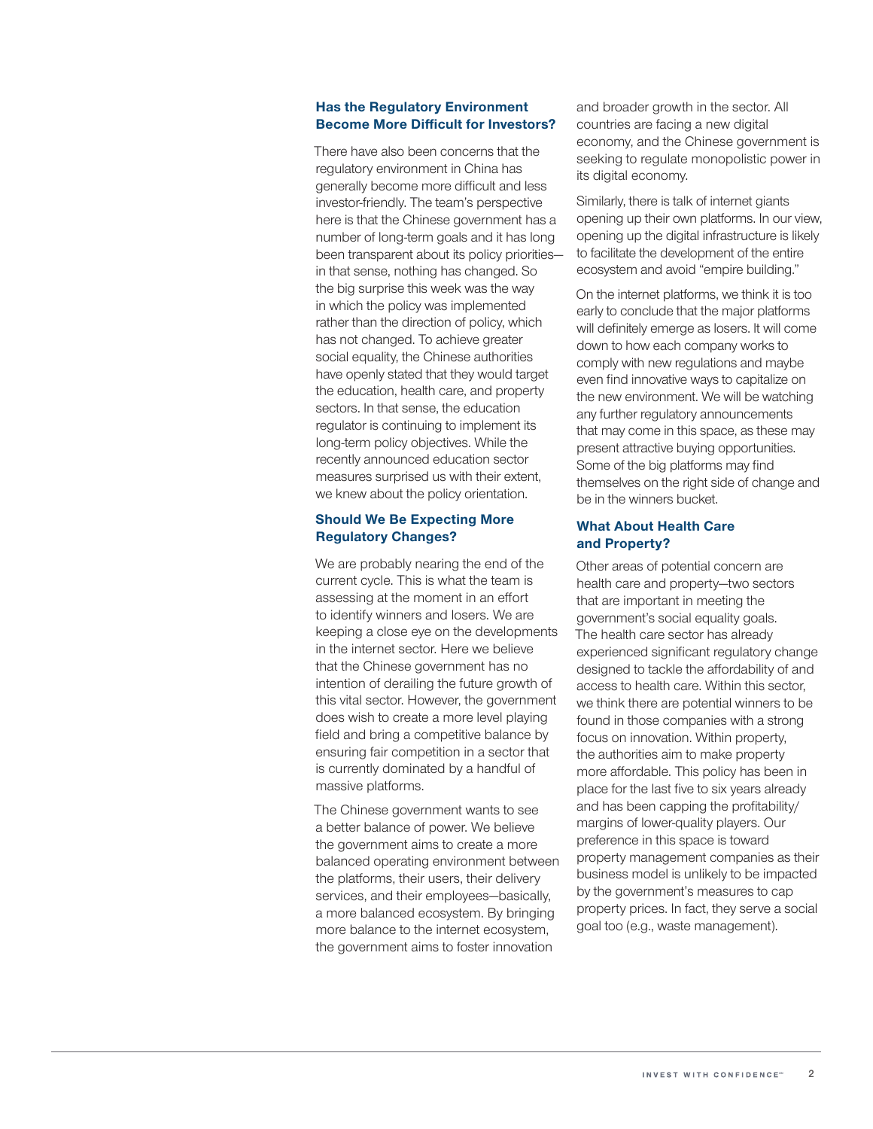#### **Has the Regulatory Environment Become More Difficult for Investors?**

There have also been concerns that the regulatory environment in China has generally become more difficult and less investor-friendly. The team's perspective here is that the Chinese government has a number of long‑term goals and it has long been transparent about its policy priorities in that sense, nothing has changed. So the big surprise this week was the way in which the policy was implemented rather than the direction of policy, which has not changed. To achieve greater social equality, the Chinese authorities have openly stated that they would target the education, health care, and property sectors. In that sense, the education regulator is continuing to implement its long-term policy objectives. While the recently announced education sector measures surprised us with their extent, we knew about the policy orientation.

#### **Should We Be Expecting More Regulatory Changes?**

We are probably nearing the end of the current cycle. This is what the team is assessing at the moment in an effort to identify winners and losers. We are keeping a close eye on the developments in the internet sector. Here we believe that the Chinese government has no intention of derailing the future growth of this vital sector. However, the government does wish to create a more level playing field and bring a competitive balance by ensuring fair competition in a sector that is currently dominated by a handful of massive platforms.

The Chinese government wants to see a better balance of power. We believe the government aims to create a more balanced operating environment between the platforms, their users, their delivery services, and their employees—basically, a more balanced ecosystem. By bringing more balance to the internet ecosystem, the government aims to foster innovation

and broader growth in the sector. All countries are facing a new digital economy, and the Chinese government is seeking to regulate monopolistic power in its digital economy.

Similarly, there is talk of internet giants opening up their own platforms. In our view, opening up the digital infrastructure is likely to facilitate the development of the entire ecosystem and avoid "empire building."

On the internet platforms, we think it is too early to conclude that the major platforms will definitely emerge as losers. It will come down to how each company works to comply with new regulations and maybe even find innovative ways to capitalize on the new environment. We will be watching any further regulatory announcements that may come in this space, as these may present attractive buying opportunities. Some of the big platforms may find themselves on the right side of change and be in the winners bucket.

#### **What About Health Care and Property?**

Other areas of potential concern are health care and property—two sectors that are important in meeting the government's social equality goals. The health care sector has already experienced significant regulatory change designed to tackle the affordability of and access to health care. Within this sector, we think there are potential winners to be found in those companies with a strong focus on innovation. Within property, the authorities aim to make property more affordable. This policy has been in place for the last five to six years already and has been capping the profitability/ margins of lower‑quality players. Our preference in this space is toward property management companies as their business model is unlikely to be impacted by the government's measures to cap property prices. In fact, they serve a social goal too (e.g., waste management).